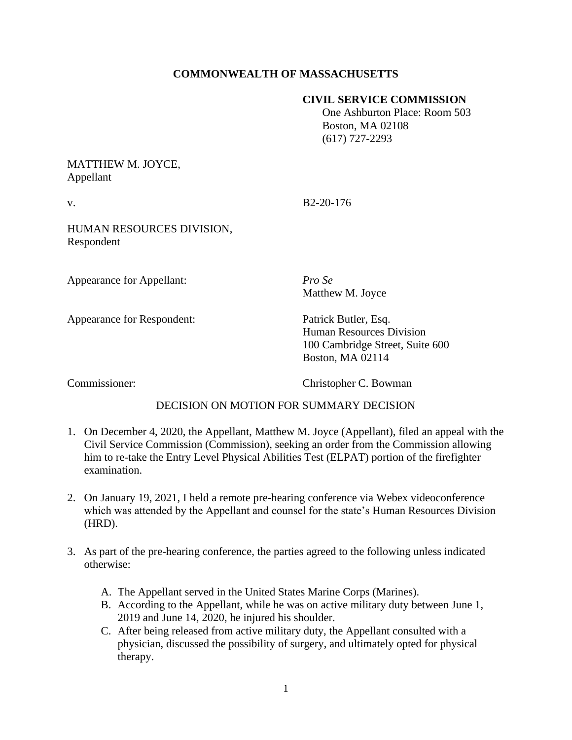# **COMMONWEALTH OF MASSACHUSETTS**

## **CIVIL SERVICE COMMISSION**

 One Ashburton Place: Room 503 Boston, MA 02108 (617) 727-2293

## MATTHEW M. JOYCE, Appellant

v. B2-20-176

HUMAN RESOURCES DIVISION, Respondent

Appearance for Appellant: *Pro Se*

Matthew M. Joyce

Appearance for Respondent: Patrick Butler, Esq.

Human Resources Division 100 Cambridge Street, Suite 600 Boston, MA 02114

Commissioner: Christopher C. Bowman

# DECISION ON MOTION FOR SUMMARY DECISION

- 1. On December 4, 2020, the Appellant, Matthew M. Joyce (Appellant), filed an appeal with the Civil Service Commission (Commission), seeking an order from the Commission allowing him to re-take the Entry Level Physical Abilities Test (ELPAT) portion of the firefighter examination.
- 2. On January 19, 2021, I held a remote pre-hearing conference via Webex videoconference which was attended by the Appellant and counsel for the state's Human Resources Division (HRD).
- 3. As part of the pre-hearing conference, the parties agreed to the following unless indicated otherwise:
	- A. The Appellant served in the United States Marine Corps (Marines).
	- B. According to the Appellant, while he was on active military duty between June 1, 2019 and June 14, 2020, he injured his shoulder.
	- C. After being released from active military duty, the Appellant consulted with a physician, discussed the possibility of surgery, and ultimately opted for physical therapy.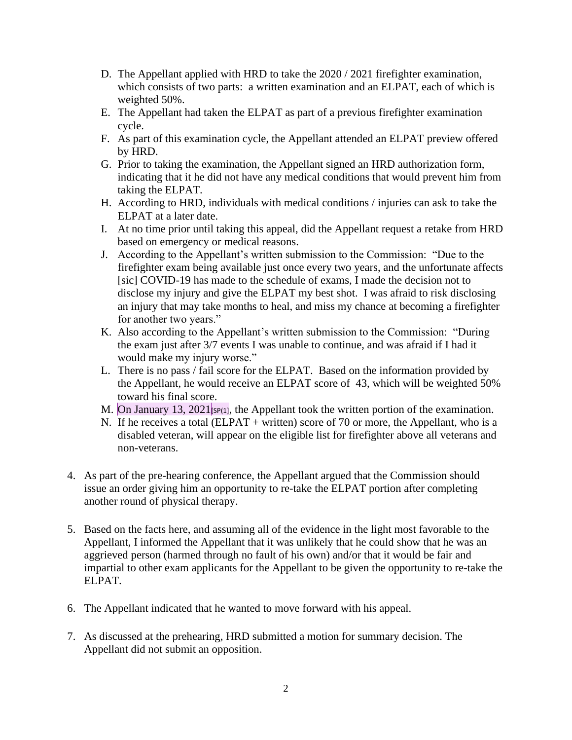- D. The Appellant applied with HRD to take the 2020 / 2021 firefighter examination, which consists of two parts: a written examination and an ELPAT, each of which is weighted 50%.
- E. The Appellant had taken the ELPAT as part of a previous firefighter examination cycle.
- F. As part of this examination cycle, the Appellant attended an ELPAT preview offered by HRD.
- G. Prior to taking the examination, the Appellant signed an HRD authorization form, indicating that it he did not have any medical conditions that would prevent him from taking the ELPAT.
- H. According to HRD, individuals with medical conditions / injuries can ask to take the ELPAT at a later date.
- I. At no time prior until taking this appeal, did the Appellant request a retake from HRD based on emergency or medical reasons.
- J. According to the Appellant's written submission to the Commission: "Due to the firefighter exam being available just once every two years, and the unfortunate affects [sic] COVID-19 has made to the schedule of exams, I made the decision not to disclose my injury and give the ELPAT my best shot. I was afraid to risk disclosing an injury that may take months to heal, and miss my chance at becoming a firefighter for another two years."
- K. Also according to the Appellant's written submission to the Commission: "During the exam just after 3/7 events I was unable to continue, and was afraid if I had it would make my injury worse."
- L. There is no pass / fail score for the ELPAT. Based on the information provided by the Appellant, he would receive an ELPAT score of 43, which will be weighted 50% toward his final score.
- M. On January 13, 2021<sup>[SP(1]</sup>, the Appellant took the written portion of the examination.
- N. If he receives a total (ELPAT + written) score of 70 or more, the Appellant, who is a disabled veteran, will appear on the eligible list for firefighter above all veterans and non-veterans.
- 4. As part of the pre-hearing conference, the Appellant argued that the Commission should issue an order giving him an opportunity to re-take the ELPAT portion after completing another round of physical therapy.
- 5. Based on the facts here, and assuming all of the evidence in the light most favorable to the Appellant, I informed the Appellant that it was unlikely that he could show that he was an aggrieved person (harmed through no fault of his own) and/or that it would be fair and impartial to other exam applicants for the Appellant to be given the opportunity to re-take the ELPAT.
- 6. The Appellant indicated that he wanted to move forward with his appeal.
- 7. As discussed at the prehearing, HRD submitted a motion for summary decision. The Appellant did not submit an opposition.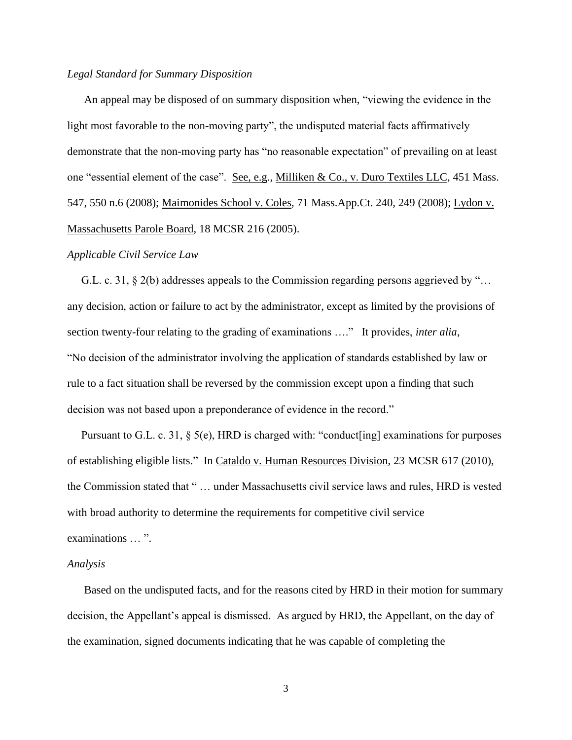### *Legal Standard for Summary Disposition*

An appeal may be disposed of on summary disposition when, "viewing the evidence in the light most favorable to the non-moving party", the undisputed material facts affirmatively demonstrate that the non-moving party has "no reasonable expectation" of prevailing on at least one "essential element of the case". See, e.g., Milliken & Co., v. Duro Textiles LLC, 451 Mass. 547, 550 n.6 (2008); Maimonides School v. Coles, 71 Mass.App.Ct. 240, 249 (2008); Lydon v. Massachusetts Parole Board, 18 MCSR 216 (2005).

#### *Applicable Civil Service Law*

 G.L. c. 31, § 2(b) addresses appeals to the Commission regarding persons aggrieved by "… any decision, action or failure to act by the administrator, except as limited by the provisions of section twenty-four relating to the grading of examinations …." It provides, *inter alia*, "No decision of the administrator involving the application of standards established by law or rule to a fact situation shall be reversed by the commission except upon a finding that such decision was not based upon a preponderance of evidence in the record."

Pursuant to G.L. c. 31, § 5(e), HRD is charged with: "conduct[ing] examinations for purposes of establishing eligible lists." In Cataldo v. Human Resources Division, 23 MCSR 617 (2010), the Commission stated that " … under Massachusetts civil service laws and rules, HRD is vested with broad authority to determine the requirements for competitive civil service examinations … ".

#### *Analysis*

 Based on the undisputed facts, and for the reasons cited by HRD in their motion for summary decision, the Appellant's appeal is dismissed. As argued by HRD, the Appellant, on the day of the examination, signed documents indicating that he was capable of completing the

3